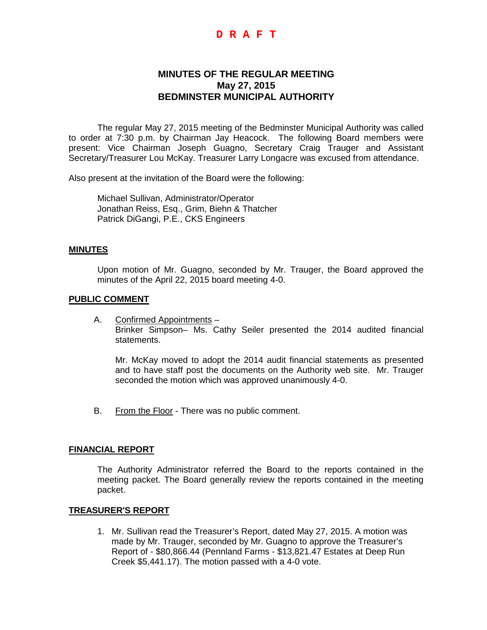## **D R A F T**

# **MINUTES OF THE REGULAR MEETING May 27, 2015 BEDMINSTER MUNICIPAL AUTHORITY**

The regular May 27, 2015 meeting of the Bedminster Municipal Authority was called to order at 7:30 p.m. by Chairman Jay Heacock. The following Board members were present: Vice Chairman Joseph Guagno, Secretary Craig Trauger and Assistant Secretary/Treasurer Lou McKay. Treasurer Larry Longacre was excused from attendance.

Also present at the invitation of the Board were the following:

Michael Sullivan, Administrator/Operator Jonathan Reiss, Esq., Grim, Biehn & Thatcher Patrick DiGangi, P.E., CKS Engineers

#### **MINUTES**

Upon motion of Mr. Guagno, seconded by Mr. Trauger, the Board approved the minutes of the April 22, 2015 board meeting 4-0.

#### **PUBLIC COMMENT**

A. Confirmed Appointments – Brinker Simpson– Ms. Cathy Seiler presented the 2014 audited financial statements.

Mr. McKay moved to adopt the 2014 audit financial statements as presented and to have staff post the documents on the Authority web site. Mr. Trauger seconded the motion which was approved unanimously 4-0.

B. From the Floor - There was no public comment.

### **FINANCIAL REPORT**

The Authority Administrator referred the Board to the reports contained in the meeting packet. The Board generally review the reports contained in the meeting packet.

#### **TREASURER'S REPORT**

1. Mr. Sullivan read the Treasurer's Report, dated May 27, 2015. A motion was made by Mr. Trauger, seconded by Mr. Guagno to approve the Treasurer's Report of - \$80,866.44 (Pennland Farms - \$13,821.47 Estates at Deep Run Creek \$5,441.17). The motion passed with a 4-0 vote.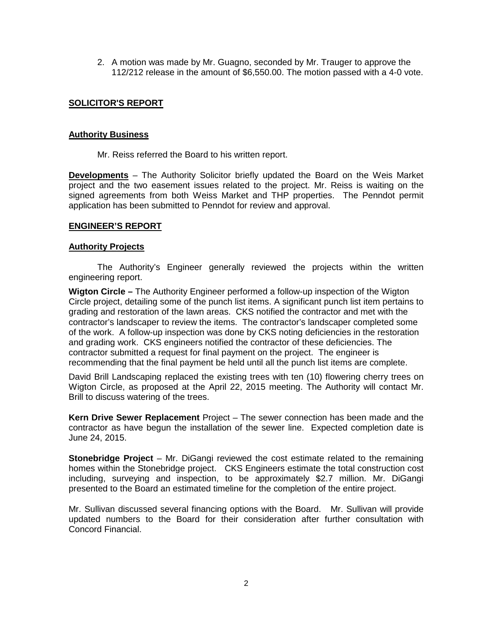2. A motion was made by Mr. Guagno, seconded by Mr. Trauger to approve the 112/212 release in the amount of \$6,550.00. The motion passed with a 4-0 vote.

## **SOLICITOR'S REPORT**

### **Authority Business**

Mr. Reiss referred the Board to his written report.

**Developments** – The Authority Solicitor briefly updated the Board on the Weis Market project and the two easement issues related to the project. Mr. Reiss is waiting on the signed agreements from both Weiss Market and THP properties. The Penndot permit application has been submitted to Penndot for review and approval.

### **ENGINEER'S REPORT**

#### **Authority Projects**

The Authority's Engineer generally reviewed the projects within the written engineering report.

**Wigton Circle –** The Authority Engineer performed a follow-up inspection of the Wigton Circle project, detailing some of the punch list items. A significant punch list item pertains to grading and restoration of the lawn areas. CKS notified the contractor and met with the contractor's landscaper to review the items. The contractor's landscaper completed some of the work. A follow-up inspection was done by CKS noting deficiencies in the restoration and grading work. CKS engineers notified the contractor of these deficiencies. The contractor submitted a request for final payment on the project. The engineer is recommending that the final payment be held until all the punch list items are complete.

David Brill Landscaping replaced the existing trees with ten (10) flowering cherry trees on Wigton Circle, as proposed at the April 22, 2015 meeting. The Authority will contact Mr. Brill to discuss watering of the trees.

**Kern Drive Sewer Replacement** Project – The sewer connection has been made and the contractor as have begun the installation of the sewer line. Expected completion date is June 24, 2015.

**Stonebridge Project** – Mr. DiGangi reviewed the cost estimate related to the remaining homes within the Stonebridge project. CKS Engineers estimate the total construction cost including, surveying and inspection, to be approximately \$2.7 million. Mr. DiGangi presented to the Board an estimated timeline for the completion of the entire project.

Mr. Sullivan discussed several financing options with the Board. Mr. Sullivan will provide updated numbers to the Board for their consideration after further consultation with Concord Financial.